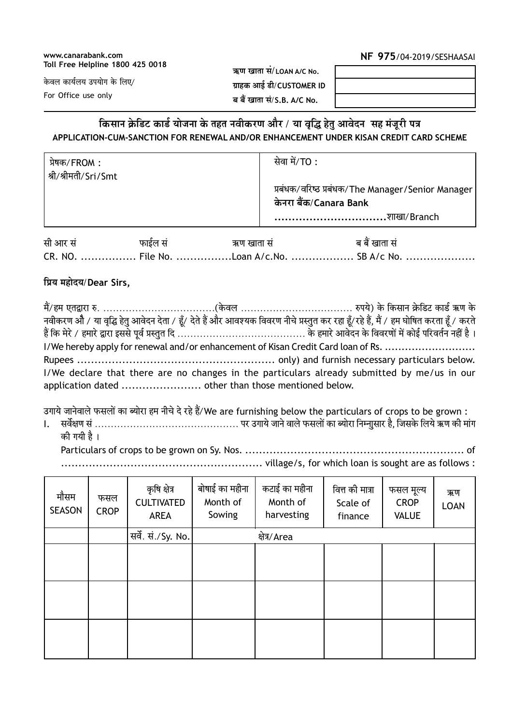#### www.canarabank.com **Toll Free Helpline 1800 425 0018**

### NF 975/04-2019/SESHAASAI

केवल कार्यलय उपयोग के लिए/

For Office use only

ऋण खाता सं/LOAN A/C No. ग्राहक आई डी/CUSTOMER ID ब बैं खाता सं/S.B. A/C No.

# किसान क्रेडिट कार्ड योजना के तहत नवीकरण और / या वृद्धि हेतु आवेदन सह मंजूरी पत्र APPLICATION-CUM-SANCTION FOR RENEWAL AND/OR ENHANCEMENT UNDER KISAN CREDIT CARD SCHEME

| प्रेषक/FROM :<br>! श्री/श्रीमती/Sri/Smt | सेवा में/TO :                                                                              |
|-----------------------------------------|--------------------------------------------------------------------------------------------|
|                                         | प्रबंधक/वरिष्ठ प्रबंधक/The Manager/Senior Manager<br>केनरा बैंक/Canara Bank<br>शाखा/Branch |

| सी आर सं | फाईल सं | ऋण खाता सं                                 | ब बैं खाता सं |
|----------|---------|--------------------------------------------|---------------|
|          |         | CR. NO.  File No. Loan A/c.No.  SB A/c No. |               |

### प्रिय महोदय/Dear Sirs,

|  | नवीकरण औे / या वृद्धि हेतु आवेदन देता / हूँ/ देते हैं और आवश्यक विवरण नीचे प्रस्तुत कर रहा हूँ/रहे हैं, मैं / हम घोषित करता हूँ / करते |
|--|----------------------------------------------------------------------------------------------------------------------------------------|
|  |                                                                                                                                        |
|  | I/We hereby apply for renewal and/or enhancement of Kisan Credit Card loan of Rs.                                                      |
|  |                                                                                                                                        |
|  | I/We declare that there are no changes in the particulars already submitted by me/us in our                                            |
|  |                                                                                                                                        |

उगाये जानेवाले फसलों का ब्योरा हम नीचे दे रहे हैं/We are furnishing below the particulars of crops to be grown:

 $\mathbf{L}$ की गयी है ।

| मौसम<br><b>SEASON</b> | फसल<br><b>CROP</b> | कृषि क्षेत्र<br><b>CULTIVATED</b><br><b>AREA</b> | बोषाई का महीना<br>Month of<br>Sowing | कटाई का महीना<br>Month of<br>harvesting | वित्त की मात्रा<br>Scale of<br>finance | फसल मूल्य<br><b>CROP</b><br><b>VALUE</b> | ऋण<br><b>LOAN</b> |
|-----------------------|--------------------|--------------------------------------------------|--------------------------------------|-----------------------------------------|----------------------------------------|------------------------------------------|-------------------|
|                       |                    | सर्वे. सं./Sy. No.                               |                                      | क्षेत्र/Area                            |                                        |                                          |                   |
|                       |                    |                                                  |                                      |                                         |                                        |                                          |                   |
|                       |                    |                                                  |                                      |                                         |                                        |                                          |                   |
|                       |                    |                                                  |                                      |                                         |                                        |                                          |                   |
|                       |                    |                                                  |                                      |                                         |                                        |                                          |                   |
|                       |                    |                                                  |                                      |                                         |                                        |                                          |                   |
|                       |                    |                                                  |                                      |                                         |                                        |                                          |                   |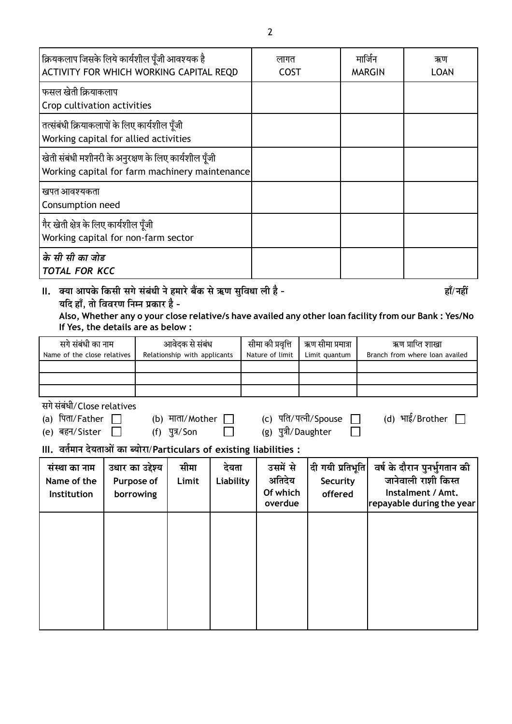| क्रियकलाप जिसके लिये कार्यशील पूँजी आवश्यक है<br>ACTIVITY FOR WHICH WORKING CAPITAL REQD                                                                                                                                                                     |                                             | लागत<br><b>COST</b>                  |                                    | मार्जिन<br><b>MARGIN</b>                  |                                         | ऋण<br><b>LOAN</b>                                  |  |                                                                                                       |
|--------------------------------------------------------------------------------------------------------------------------------------------------------------------------------------------------------------------------------------------------------------|---------------------------------------------|--------------------------------------|------------------------------------|-------------------------------------------|-----------------------------------------|----------------------------------------------------|--|-------------------------------------------------------------------------------------------------------|
| फसल खेती क्रियाकलाप<br>Crop cultivation activities                                                                                                                                                                                                           |                                             |                                      |                                    |                                           |                                         |                                                    |  |                                                                                                       |
| तत्संबंधी क्रियाकलापों के लिए कार्यशील पूँजी<br>Working capital for allied activities                                                                                                                                                                        |                                             |                                      |                                    |                                           |                                         |                                                    |  |                                                                                                       |
| खेती संबंधी मशीनरी के अनुरक्षण के लिए कार्यशील पूँजी<br>Working capital for farm machinery maintenance                                                                                                                                                       |                                             |                                      |                                    |                                           |                                         |                                                    |  |                                                                                                       |
| खपत आवश्यकता<br>Consumption need                                                                                                                                                                                                                             |                                             |                                      |                                    |                                           |                                         |                                                    |  |                                                                                                       |
| गैर खेती क्षेत्र के लिए कार्यशील पूँजी<br>Working capital for non-farm sector                                                                                                                                                                                |                                             |                                      |                                    |                                           |                                         |                                                    |  |                                                                                                       |
| के सी सी का जोड<br><b>TOTAL FOR KCC</b>                                                                                                                                                                                                                      |                                             |                                      |                                    |                                           |                                         |                                                    |  |                                                                                                       |
| क्या आपके किसी सगे संबंधी ने हमारे बैंक से ऋण सुविधा ली है -<br>II.<br>यदि हाँ, तो विवरण निम्न प्रकार है -<br>Also, Whether any o your close relative/s have availed any other loan facility from our Bank : Yes/No<br>If Yes, the details are as below :    |                                             |                                      |                                    |                                           | हाँ/नहीं                                |                                                    |  |                                                                                                       |
| सगे संबंधी का नाम<br>आवेदक से संबंध<br>Name of the close relatives<br>Relationship with applicants                                                                                                                                                           |                                             | सीमा की प्रवृत्ति<br>Nature of limit | ऋण सीमा प्रमात्रा<br>Limit quantum |                                           |                                         | ऋण प्राप्ति शाखा<br>Branch from where loan availed |  |                                                                                                       |
| सगे संबंधी/Close relatives<br>(d) भाई/Brother<br>(c) पति/पत्नी/Spouse<br>(a) पिता/Father<br>(b) माता/Mother<br>(g) पुत्री/Daughter<br>(e) बहन/Sister<br>$(f)$ $\sqrt{3}/\sqrt{5}$ on<br>III. वर्तमान देयताओं का ब्योरा/Particulars of existing liabilities : |                                             |                                      |                                    |                                           |                                         |                                                    |  |                                                                                                       |
| संस्था का नाम<br>Name of the<br>Institution                                                                                                                                                                                                                  | उधार का उद्देश्य<br>Purpose of<br>borrowing | सीमा<br>Limit                        | देयता<br>Liability                 | उसमें से<br>अतिदेय<br>Of which<br>overdue | दी गयी प्रतिभूति<br>Security<br>offered |                                                    |  | वर्ष के दौरान पुनर्भुगतान की<br>जानेवाली राशी किस्त<br>Instalment / Amt.<br>repayable during the year |
|                                                                                                                                                                                                                                                              |                                             |                                      |                                    |                                           |                                         |                                                    |  |                                                                                                       |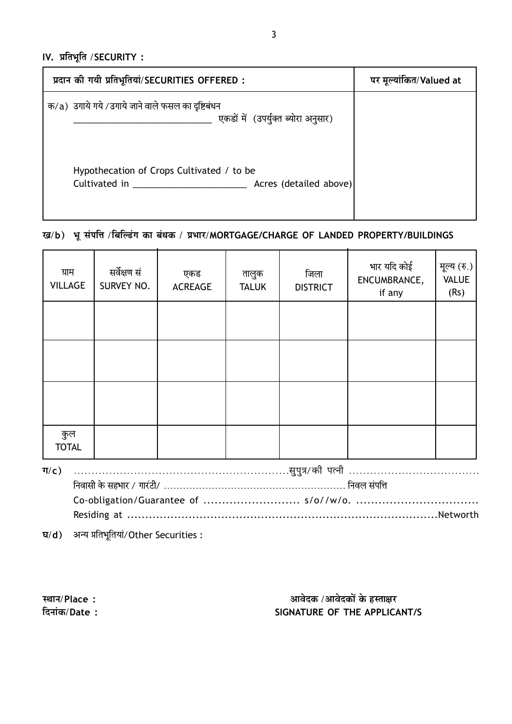IV. प्रतिभूति / SECURITY:

| प्रदान की गयी प्रतिभूतियां/SECURITIES OFFERED :                                          | पर मूल्यांकित/Valued at |
|------------------------------------------------------------------------------------------|-------------------------|
| क/a) उगाये गये /उगाये जाने वाले फसल का दृष्टिबंधन<br>एकडों में (उपर्युक्त ब्योरा अनुसार) |                         |
| Hypothecation of Crops Cultivated / to be<br>Cultivated in<br>Acres (detailed above)     |                         |

# ख/b) भू संपत्ति /बिल्डिंग का बंधक / प्रभार/MORTGAGE/CHARGE OF LANDED PROPERTY/BUILDINGS

| ग्राम<br><b>VILLAGE</b> | सर्वेक्षण सं<br>SURVEY NO. | एकड<br><b>ACREAGE</b> | तालुक<br><b>TALUK</b> | जिला<br><b>DISTRICT</b> | भार यदि कोई<br>ENCUMBRANCE,<br>if any | मूल्य (रु.)<br><b>VALUE</b><br>(Rs) |
|-------------------------|----------------------------|-----------------------|-----------------------|-------------------------|---------------------------------------|-------------------------------------|
|                         |                            |                       |                       |                         |                                       |                                     |
|                         |                            |                       |                       |                         |                                       |                                     |
|                         |                            |                       |                       |                         |                                       |                                     |
| कुल<br><b>TOTAL</b>     |                            |                       |                       |                         |                                       |                                     |
| $\Pi(c)$                |                            |                       |                       | .सुपुत्र/की पत्नी       |                                       |                                     |

घ/d) अन्य प्रतिभूतियां/Other Securities:

स्थान/Place: दिनांक/Date:

# आवेदक /आवेदकों के हस्ताक्षर SIGNATURE OF THE APPLICANT/S